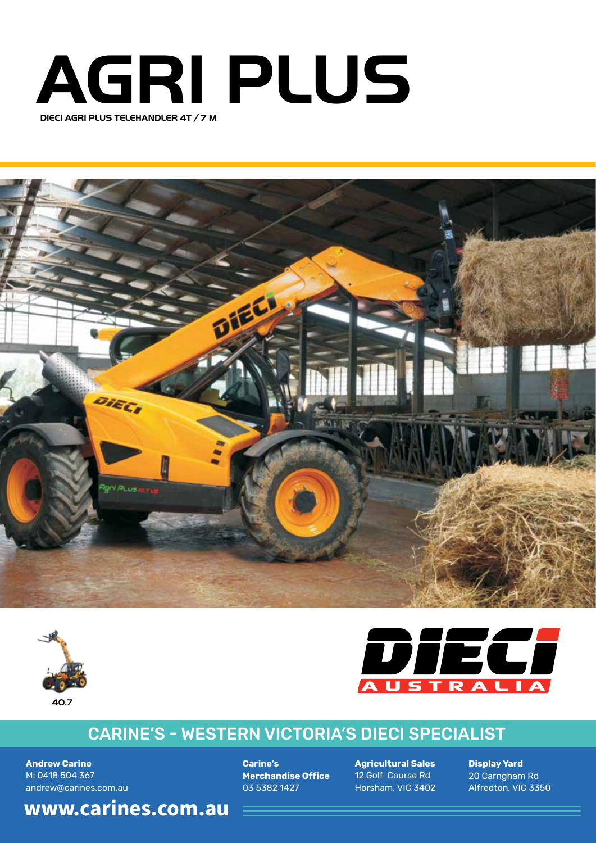







## CARINE'S - WESTERN VICTORIA'S DIECI SPECIALIST

**Andrew Carine** M: 0418 504 367 andrew@carines.com.au **Carine's Merchandise Office** 03 5382 1427

**Agricultural Sales** 12 Golf Course Rd Horsham, VIC 3402 **Display Yard** 20 Carngham Rd Alfredton, VIC 3350

**www.carines.com.au 40.7**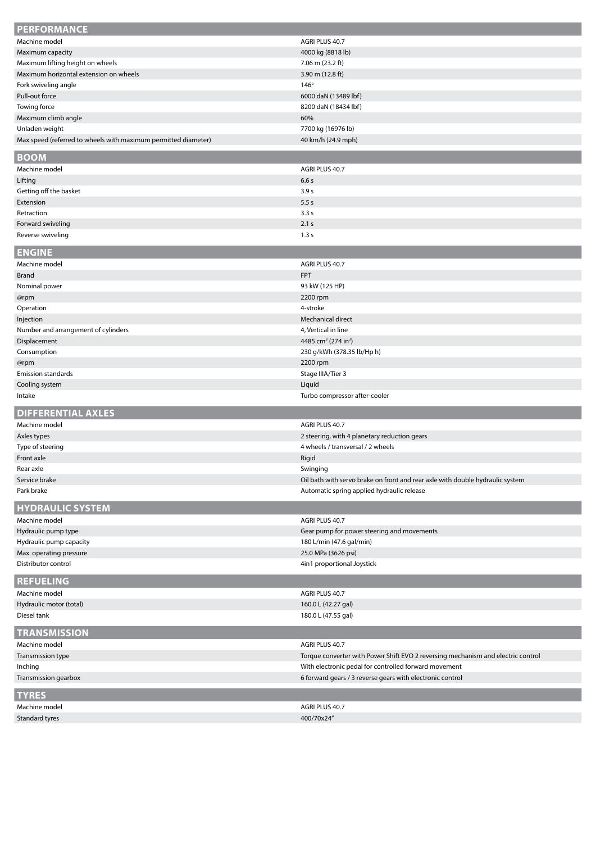| <b>PERFORMANCE</b>                                             |                                                                                  |
|----------------------------------------------------------------|----------------------------------------------------------------------------------|
| Machine model                                                  | AGRI PLUS 40.7                                                                   |
| Maximum capacity                                               | 4000 kg (8818 lb)                                                                |
| Maximum lifting height on wheels                               | 7.06 m (23.2 ft)                                                                 |
| Maximum horizontal extension on wheels                         | 3.90 m $(12.8 \text{ ft})$                                                       |
| Fork swiveling angle                                           | $146^\circ$                                                                      |
| Pull-out force                                                 | 6000 daN (13489 lbf)                                                             |
| Towing force                                                   | 8200 daN (18434 lbf)                                                             |
| Maximum climb angle                                            | 60%                                                                              |
| Unladen weight                                                 | 7700 kg (16976 lb)                                                               |
| Max speed (referred to wheels with maximum permitted diameter) | 40 km/h (24.9 mph)                                                               |
|                                                                |                                                                                  |
| <b>BOOM</b>                                                    |                                                                                  |
| Machine model                                                  | AGRI PLUS 40.7                                                                   |
| Lifting                                                        | 6.6s                                                                             |
| Getting off the basket                                         | 3.9 <sub>s</sub>                                                                 |
| Extension                                                      | 5.5s                                                                             |
| Retraction                                                     | 3.3s                                                                             |
| Forward swiveling                                              | 2.1 s                                                                            |
| Reverse swiveling                                              | 1.3 s                                                                            |
| <b>ENGINE</b>                                                  |                                                                                  |
| Machine model                                                  | AGRI PLUS 40.7                                                                   |
| <b>Brand</b>                                                   | <b>FPT</b>                                                                       |
| Nominal power                                                  | 93 kW (125 HP)                                                                   |
| @rpm                                                           | 2200 rpm                                                                         |
| Operation                                                      | 4-stroke                                                                         |
| Injection                                                      | Mechanical direct                                                                |
| Number and arrangement of cylinders                            | 4, Vertical in line                                                              |
| Displacement                                                   | 4485 cm <sup>3</sup> (274 in <sup>3</sup> )                                      |
| Consumption                                                    | 230 g/kWh (378.35 lb/Hp h)                                                       |
| @rpm                                                           | 2200 rpm                                                                         |
| <b>Emission standards</b>                                      | Stage IIIA/Tier 3                                                                |
| Cooling system                                                 | Liquid                                                                           |
| Intake                                                         | Turbo compressor after-cooler                                                    |
|                                                                |                                                                                  |
| <b>DIFFERENTIAL AXLES</b>                                      |                                                                                  |
| Machine model                                                  | AGRI PLUS 40.7                                                                   |
| Axles types                                                    | 2 steering, with 4 planetary reduction gears                                     |
| Type of steering                                               | 4 wheels / transversal / 2 wheels                                                |
| Front axle                                                     | Rigid                                                                            |
| Rear axle                                                      | Swinging                                                                         |
| Service brake                                                  | Oil bath with servo brake on front and rear axle with double hydraulic system    |
| Park brake                                                     | Automatic spring applied hydraulic release                                       |
| <b>HYDRAULIC SYSTEM</b>                                        |                                                                                  |
|                                                                |                                                                                  |
| Machine model<br>Hydraulic pump type                           | AGRI PLUS 40.7                                                                   |
|                                                                | Gear pump for power steering and movements                                       |
| Hydraulic pump capacity                                        | 180 L/min (47.6 gal/min)                                                         |
| Max. operating pressure                                        | 25.0 MPa (3626 psi)                                                              |
| Distributor control                                            | 4in1 proportional Joystick                                                       |
| <b>REFUELING</b>                                               |                                                                                  |
| Machine model                                                  | AGRI PLUS 40.7                                                                   |
| Hydraulic motor (total)                                        | 160.0 L (42.27 gal)                                                              |
| Diesel tank                                                    | 180.0 L (47.55 gal)                                                              |
| <b>TRANSMISSION</b>                                            |                                                                                  |
|                                                                |                                                                                  |
| Machine model                                                  | AGRI PLUS 40.7                                                                   |
| Transmission type                                              | Torque converter with Power Shift EVO 2 reversing mechanism and electric control |
| Inching                                                        | With electronic pedal for controlled forward movement                            |
| Transmission gearbox                                           | 6 forward gears / 3 reverse gears with electronic control                        |
| <b>TYRES</b>                                                   |                                                                                  |
| Machine model                                                  | AGRI PLUS 40.7                                                                   |
| Standard tyres                                                 | 400/70x24"                                                                       |
|                                                                |                                                                                  |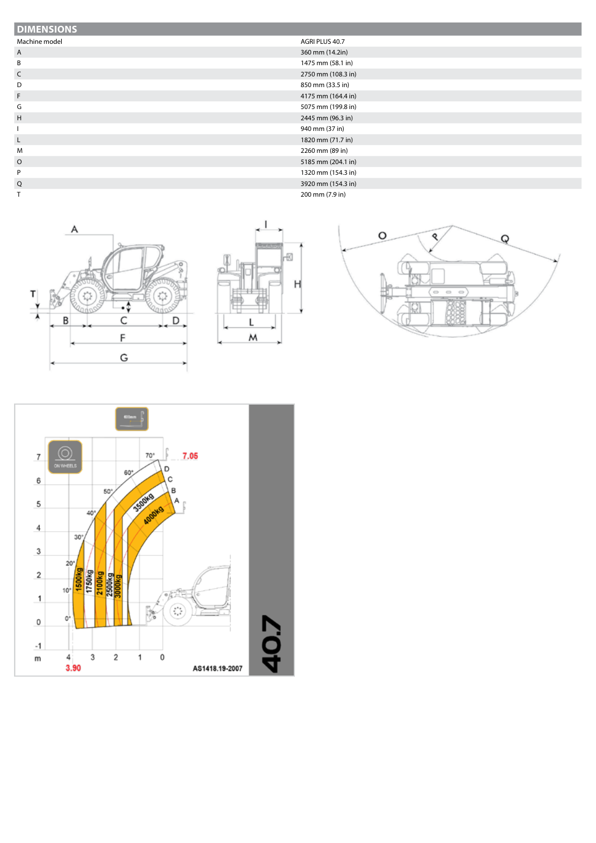## **DIMENSIONS**

- Machine model **AGRI PLUS 40.7**
- 
- A 360 mm (14.2in)<br>B 1475 mm (58.1 in
- 
- 
- 
- 
- 
- 
- 
- 
- 
- 
- 
- 
- 
- 
- 
- 
- 
- 
- 
- 
- C 2750 mm (108.3 in)
- D 850 mm (33.5 in)
- F 4175 mm (164.4 in)
- G 5075 mm (199.8 in) H 2445 mm (96.3 in)
- I 940 mm (37 in)
- L 1820 mm (71.7 in) M 2260 mm (89 in)
- O 5185 mm (204.1 in)
- P 1320 mm (154.3 in)
- Q 3920 mm (154.3 in) T 200 mm (7.9 in)
	- Α т ۰\$ B C D F G



1475 mm (58.1 in)